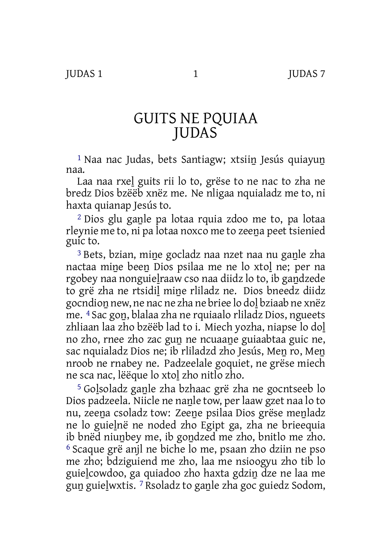## GUITS NE PQUIAA JUDAS

<sup>1</sup> Naa nac Judas, bets Santiagw; xtsiin Jesús quiayun naa.

Laa naa rxeḻ guits rii lo to, grëse to ne nac to zha ne bredz Dios bzëëb xnëz me. Ne nligaa nquialadz me to, ni haxta quianap Jesús to.

<sup>2</sup> Dios glu ganle pa lotaa rquia zdoo me to, pa lotaa rleynie me to, ni pa lotaa noxco me to zeena peet tsienied guic to.

<sup>3</sup> Bets, bzian, mine gocladz naa nzet naa nu ganle zha nactaa miṉe beeṉ Dios psilaa me ne lo xtoḻ ne; per na rgobey naa nonguieḻraaw cso naa diidz lo to, ib gaṉdzede to grë zha ne rtsidiḻ miṉe rliladz ne. Dios bneedz diidz gocndioṉ new, ne nac ne zha ne briee lo doḻ bziaab ne xnëz me. 4 Sac goṉ, blalaa zha ne rquiaalo rliladz Dios, ngueets zhliaan laa zho bzëëb lad to i. Miech yozha, niapse lo doḻ no zho, rnee zho zac guṉ ne ncuaaṉe guiaabtaa guic ne, sac nquialadz Dios ne; ib rliladzd zho Jesús, Men ro, Men nroob ne rnabey ne. Padzeelale goquiet, ne grëse miech ne sca nac, lëëque lo xtoḻ zho nitlo zho.

<sup>5</sup> Golsoladz ganle zha bzhaac grë zha ne gocntseeb lo Dios padzeela. Niicle ne nanle tow, per laaw gzet naa lo to nu, zeeṉa csoladz tow: Zeeṉe psilaa Dios grëse meṉladz ne lo guieḻnë ne noded zho Egipt ga, zha ne brieequia ib bnëd niuṉbey me, ib goṉdzed me zho, bnitlo me zho. 6 Scaque grë anjl ne biche lo me, psaan zho dziin ne pso me zho; bdziguiend me zho, laa me nsioogyu zho tib lo guieḻcowdoo, ga quiadoo zho haxta gdziṉ dze ne laa me guṉ guieḻwxtis. 7 Rsoladz to gaṉle zha goc guiedz Sodom,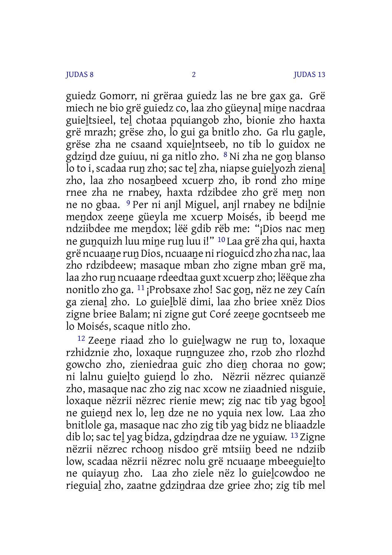guiedz Gomorr, ni grëraa guiedz las ne bre gax ga. Grë miech ne bio grë guiedz co, laa zho güeynal mine nacdraa guieḻtsieel, teḻ chotaa pquiangob zho, bionie zho haxta grë mrazh; grëse zho, lo gui ga bnitlo zho. Ga rlu ganle, grëse zha ne csaand xquieḻntseeb, no tib lo guidox ne gdziṉd dze guiuu, ni ga nitlo zho. 8 Ni zha ne goṉ blanso lo to i, scadaa run zho; sac tel zha, niapse guielyozh zienal zho, laa zho nosanbeed xcuerp zho, ib rond zho mine rnee zha ne rnabey, haxta rdzibdee zho grë meṉ non ne no gbaa. <sup>9</sup> Per ni anjl Miguel, anjl rnabey ne bdilnie mendox zeene güeyla me xcuerp Moisés, ib beend me ndziibdee me mendox; lëë gdib rëb me: "¡Dios nac men ne gunquizh luu mine run luu i!" <sup>10</sup> Laa grë zha qui, haxta grë ncuaane run Dios, ncuaane ni rioguicd zho zha nac, laa zho rdzibdeew; masaque mban zho zigne mban grë ma, laa zho ruṉ ncuaaṉe rdeedtaa guxt xcuerp zho; lëëque zha nonitlo zho ga. 11 ¡Probsaxe zho! Sac goṉ, nëz ne zey Caín ga zienaḻ zho. Lo guieḻblë dimi, laa zho briee xnëz Dios zigne briee Balam; ni zigne gut Coré zeeṉe gocntseeb me lo Moisés, scaque nitlo zho.

<sup>12</sup> Zeene riaad zho lo guielwagw ne run to, loxaque rzhidznie zho, loxaque runnguzee zho, rzob zho rlozhd gowcho zho, zieniedraa guic zho dieṉ choraa no gow; ni lalnu guieḻto guieṉd lo zho. Nëzrii nëzrec quianzë zho, masaque nac zho zig nac xcow ne ziaadnied nisguie, loxaque nëzrii nëzrec rienie mew; zig nac tib yag bgooḻ ne guieṉd nex lo, leṉ dze ne no yquia nex low. Laa zho bnitlole ga, masaque nac zho zig tib yag bidz ne bliaadzle dib lo; sac tel yag bidza, gdzindraa dze ne yguiaw. <sup>13</sup> Zigne nëzrii nëzrec rchooṉ nisdoo grë mtsiiṉ beed ne ndziib low, scadaa nëzrii nëzrec nolu grë ncuaane mbeeguielto ne quiayuṉ zho. Laa zho ziele nëz lo guieḻcowdoo ne rieguiaḻ zho, zaatne gdziṉdraa dze griee zho; zig tib mel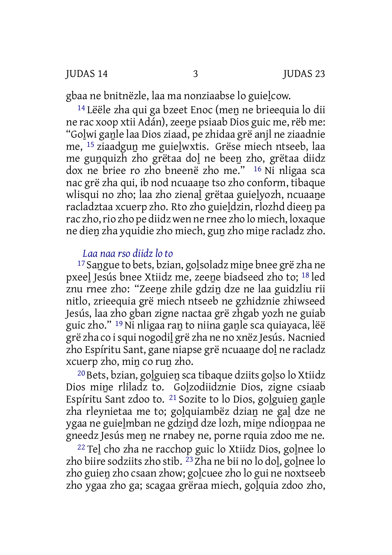gbaa ne bnitnëzle, laa ma nonziaabse lo guielcow.

<sup>14</sup> Lëële zha qui ga bzeet Enoc (men ne brieequia lo dii ne rac xoop xtii Adán), zeene psiaab Dios guic me, rëb me: "Goḻwi gaṉle laa Dios ziaad, pe zhidaa grë anjl ne ziaadnie me, 15 ziaadguṉ me guieḻwxtis. Grëse miech ntseeb, laa me gunquizh zho grëtaa dol ne been zho, grëtaa diidz dox ne briee ro zho bneenë zho me." 16 Ni nligaa sca nac grë zha qui, ib nod ncuaaṉe tso zho conform, tibaque wlisqui no zho; laa zho zienal grëtaa guielyozh, ncuaane racladztaa xcuerp zho. Rto zho guieḻdzin, rlozhd dieeṉ pa rac zho,rio zho pe diidz wen ne rnee zho lo miech, loxaque ne dien zha yquidie zho miech, gun zho mine racladz zho.

## *Laa naa rso diidz lo to*

<sup>17</sup> Sangue to bets, bzian, golsoladz mine bnee grë zha ne pxeeḻ Jesús bnee Xtiidz me, zeeṉe biadseed zho to; 18 led znu rnee zho: "Zeeṉe zhile gdziṉ dze ne laa guidzliu rii nitlo, zrieequia grë miech ntseeb ne gzhidznie zhiwseed Jesús, laa zho gban zigne nactaa grë zhgab yozh ne guiab guic zho." <sup>19</sup> Ni nligaa ran to niina ganle sca quiayaca, lëë grë zha co isqui nogodiḻ grë zha ne no xnëz Jesús. Nacnied zho Espíritu Sant, gane niapse grë ncuaane dol ne racladz xcuerp zho, miṉ co ruṉ zho.

20Bets, bzian, goḻguieṉ sca tibaque dziits goḻso lo Xtiidz Dios miṉe rliladz to. Goḻzodiidznie Dios, zigne csiaab Espíritu Sant zdoo to. 21 Sozite to lo Dios, goḻguieṉ gaṉle zha rleynietaa me to; goḻquiambëz dziaṉ ne gaḻ dze ne ygaa ne guieḻmban ne gdziṉd dze lozh, miṉe ndioṉpaa ne gneedz Jesús men ne rnabey ne, porne rquia zdoo me ne.

22 Teḻ cho zha ne racchop guic lo Xtiidz Dios, goḻnee lo zho biire sodziits zho stib. <sup>23</sup> Zha ne bii no lo dol, golnee lo zho guien zho csaan zhow; golcuee zho lo gui ne noxtseeb zho ygaa zho ga; scagaa grëraa miech, goḻquia zdoo zho,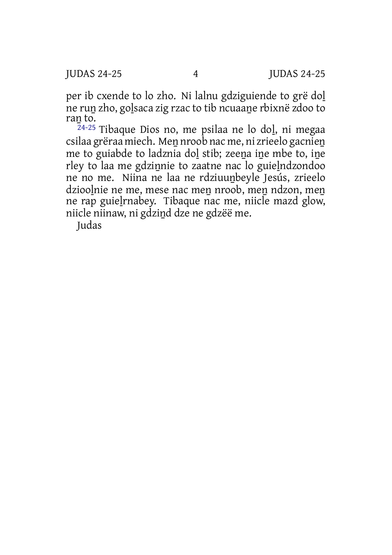per ib cxende to lo zho. Ni lalnu gdziguiende to grë doḻ ne ruṉ zho, goḻsaca zig rzac to tib ncuaaṉe rbixnë zdoo to ran to.

24-25 Tibaque Dios no, me psilaa ne lo doḻ, ni megaa csilaa grëraa miech. Men nroob nac me, ni zrieelo gacnien me to guiabde to ladznia dol stib; zeena ine mbe to, ine rley to laa me gdzinnie to zaatne nac lo guielndzondoo ne no me. Niina ne laa ne rdziuuṉbeyle Jesús, zrieelo dzioolnie ne me, mese nac men nroob, men ndzon, men ne rap guieḻrnabey. Tibaque nac me, niicle mazd glow, niicle niinaw, ni gdziṉd dze ne gdzëë me.

Judas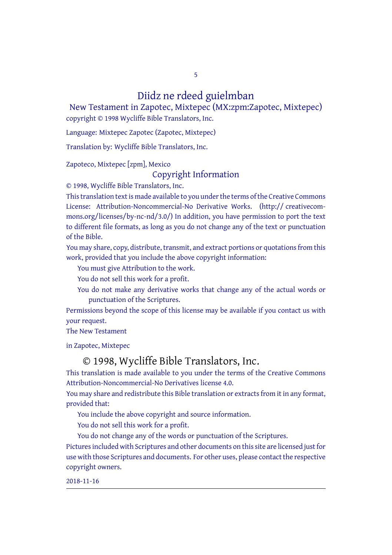5

Diidz ne rdeed guielmban

New Testament in Zapotec, Mixtepec (MX:zpm:Zapotec, Mixtepec) copyright © 1998 Wycliffe Bible Translators, Inc.

Language: Mixtepec Zapotec (Zapotec, Mixtepec)

Translation by: Wycliffe Bible Translators, Inc.

Zapoteco, Mixtepec [zpm], Mexico

## Copyright Information

© 1998, Wycliffe Bible Translators, Inc.

This translation text is made available to you under the terms of the Creative [Commons](http://creativecommons.org/licenses/by-nc-nd/4.0/) License: Attribution-Noncommercial-No Derivative Works. (http:// creativecommons.org/licenses/by-nc-nd/3.0/) In addition, you have permission to port the text to different file formats, as long as you do not change any of the text or punctuation of the Bible.

You may share, copy, distribute, transmit, and extract portions or quotations from this work, provided that you include the above copyright information:

You must give Attribution to the work.

You do not sell this work for a profit.

You do not make any derivative works that change any of the actual words or punctuation of the Scriptures.

Permissions beyond the scope of this license may be available if you contact us with your request.

The New Testament

in Zapotec, Mixtepec

## © 1998, Wycliffe Bible Translators, Inc.

This translation is made available to you under the terms of the Creative Commons Attribution-Noncommercial-No Derivatives license 4.0.

You may share and redistribute this Bible translation or extracts from it in any format, provided that:

You include the above copyright and source information.

You do not sell this work for a profit.

You do not change any of the words or punctuation of the Scriptures.

Pictures included with Scriptures and other documents on this site are licensed just for use with those Scriptures and documents. For other uses, please contact the respective copyright owners.

2018-11-16